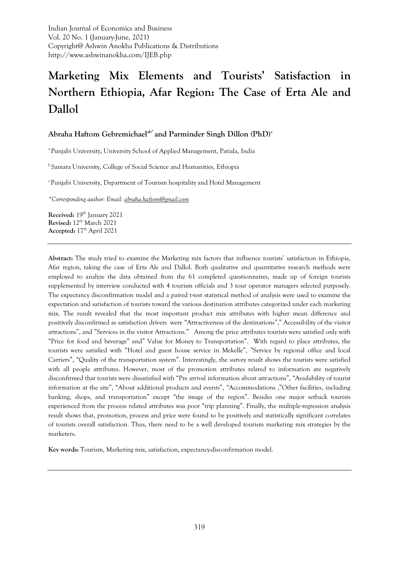Indian Journal of Economics and Business Vol. 20 No. 1 (January-June, 2021) Copyright@ Ashwin Anokha Publications & Distributions http://www.ashwinanokha.com/IJEB.php

# **Marketing Mix Elements and Tourists' Satisfaction in Northern Ethiopia, Afar Region: The Case of Erta Ale and Dallol**

# **Abraha Haftom Gebremichaelab\* and Parminder Singh Dillon (PhD)<sup>c</sup>**

<sup>a</sup> Punjabi University, University School of Applied Management, Patiala, India

<sup>b</sup> Samara University, College of Social Science and Humanities, Ethiopia

<sup>c</sup>Punjabi University, Department of Tourism hospitality and Hotel Management

*\*Corresponding author: Email[: abraha.haftom@gmail.com](mailto:abraha.haftom@gmail.com)*

**Received:** 19<sup>th</sup> January 2021 **Revised:** 12 th March 2021 **Accepted:** 17 th April 2021

**Abstract:** The study tried to examine the Marketing mix factors that influence tourists' satisfaction in Ethiopia, Afar region, taking the case of Erta Ale and Dallol. Both qualitative and quantitative research methods were employed to analyze the data obtained from the 61 completed questionnaires, made up of foreign tourists supplemented by interview conducted with 4 tourism officials and 3 tour operator managers selected purposely. The expectancy disconfirmation model and a paired t-test statistical method of analysis were used to examine the expectation and satisfaction of tourists toward the various destination attributes categorized under each marketing mix. The result revealed that the most important product mix attributes with higher mean difference and positively disconfirmed as satisfaction drivers were "Attractiveness of the destinations"," Accessibility of the visitor attractions", and "Services in the visitor Attractions." Among the price attributes tourists were satisfied only with "Price for food and beverage" and" Value for Money to Transportation". With regard to place attributes, the tourists were satisfied with "Hotel and guest house service in Mekelle", "Service by regional office and local Carriers", "Quality of the transportation system". Interestingly, the survey result shows the tourists were satisfied with all people attributes. However, most of the promotion attributes related to information are negatively disconfirmed that tourists were dissatisfied with "Pre arrival information about attractions", "Availability of tourist information at the site", "About additional products and events", "Accommodations ,"Other facilities, including banking, shops, and transportation" except "the image of the region". Besides one major setback tourists experienced from the process related attributes was poor "trip planning". Finally, the multiple-regression analysis result shows that, promotion, process and price were found to be positively and statistically significant correlates of tourists overall satisfaction. Thus, there need to be a well developed tourism marketing mix strategies by the marketers.

**Key words:** Tourism, Marketing mix, satisfaction, expectancy-disconfirmation model.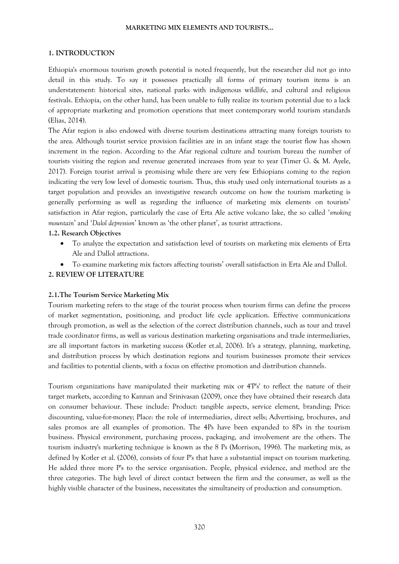## **1. INTRODUCTION**

Ethiopia's enormous tourism growth potential is noted frequently, but the researcher did not go into detail in this study. To say it possesses practically all forms of primary tourism items is an understatement: historical sites, national parks with indigenous wildlife, and cultural and religious festivals. Ethiopia, on the other hand, has been unable to fully realize its tourism potential due to a lack of appropriate marketing and promotion operations that meet contemporary world tourism standards (Elias, 2014).

The Afar region is also endowed with diverse tourism destinations attracting many foreign tourists to the area. Although tourist service provision facilities are in an infant stage the tourist flow has shown increment in the region. According to the Afar regional culture and tourism bureau the number of tourists visiting the region and revenue generated increases from year to year (Timer G. & M. Ayele, 2017). Foreign tourist arrival is promising while there are very few Ethiopians coming to the region indicating the very low level of domestic tourism. Thus, this study used only international tourists as a target population and provides an investigative research outcome on how the tourism marketing is generally performing as well as regarding the influence of marketing mix elements on tourists' satisfaction in Afar region, particularly the case of Erta Ale active volcano lake, the so called '*smoking mountain*' and '*Dalol depression*' known as 'the other planet', as tourist attractions.

# **1.2. Research Objectives**

- To analyze the expectation and satisfaction level of tourists on marketing mix elements of Erta Ale and Dallol attractions.
- To examine marketing mix factors affecting tourists' overall satisfaction in Erta Ale and Dallol.

# **2. REVIEW OF LITERATURE**

## **2.1.The Tourism Service Marketing Mix**

Tourism marketing refers to the stage of the tourist process when tourism firms can define the process of market segmentation, positioning, and product life cycle application. Effective communications through promotion, as well as the selection of the correct distribution channels, such as tour and travel trade coordinator firms, as well as various destination marketing organisations and trade intermediaries, are all important factors in marketing success (Kotler et.al, 2006). It's a strategy, planning, marketing, and distribution process by which destination regions and tourism businesses promote their services and facilities to potential clients, with a focus on effective promotion and distribution channels.

Tourism organizations have manipulated their marketing mix or 4'P's' to reflect the nature of their target markets, according to Kannan and Srinivasan (2009), once they have obtained their research data on consumer behaviour. These include: Product: tangible aspects, service element, branding; Price: discounting, value-for-money; Place: the role of intermediaries, direct sells; Advertising, brochures, and sales promos are all examples of promotion. The 4Ps have been expanded to 8Ps in the tourism business. Physical environment, purchasing process, packaging, and involvement are the others. The tourism industry's marketing technique is known as the 8 Ps (Morrison, 1996). The marketing mix, as defined by Kotler et al. (2006), consists of four P's that have a substantial impact on tourism marketing. He added three more P's to the service organisation. People, physical evidence, and method are the three categories. The high level of direct contact between the firm and the consumer, as well as the highly visible character of the business, necessitates the simultaneity of production and consumption.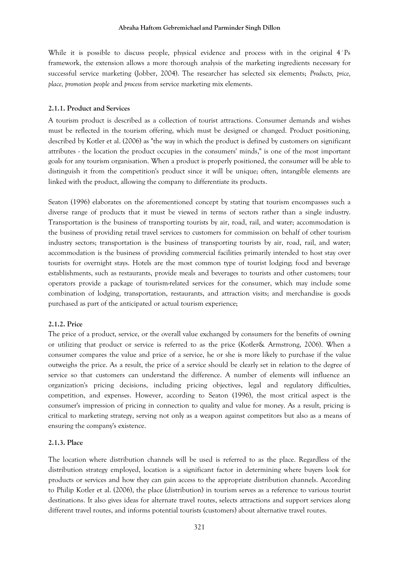While it is possible to discuss people, physical evidence and process with in the original 4<sup>t</sup>Ps framework, the extension allows a more thorough analysis of the marketing ingredients necessary for successful service marketing (Jobber, 2004). The researcher has selected six elements; *Products, price, place, promotion people* and *process* from service marketing mix elements.

#### **2.1.1. Product and Services**

A tourism product is described as a collection of tourist attractions. Consumer demands and wishes must be reflected in the tourism offering, which must be designed or changed. Product positioning, described by Kotler et al. (2006) as "the way in which the product is defined by customers on significant attributes - the location the product occupies in the consumers' minds," is one of the most important goals for any tourism organisation. When a product is properly positioned, the consumer will be able to distinguish it from the competition's product since it will be unique; often, intangible elements are linked with the product, allowing the company to differentiate its products.

Seaton (1996) elaborates on the aforementioned concept by stating that tourism encompasses such a diverse range of products that it must be viewed in terms of sectors rather than a single industry. Transportation is the business of transporting tourists by air, road, rail, and water; accommodation is the business of providing retail travel services to customers for commission on behalf of other tourism industry sectors; transportation is the business of transporting tourists by air, road, rail, and water; accommodation is the business of providing commercial facilities primarily intended to host stay over tourists for overnight stays. Hotels are the most common type of tourist lodging; food and beverage establishments, such as restaurants, provide meals and beverages to tourists and other customers; tour operators provide a package of tourism-related services for the consumer, which may include some combination of lodging, transportation, restaurants, and attraction visits; and merchandise is goods purchased as part of the anticipated or actual tourism experience;

#### **2.1.2. Price**

The price of a product, service, or the overall value exchanged by consumers for the benefits of owning or utilizing that product or service is referred to as the price (Kotler& Armstrong, 2006). When a consumer compares the value and price of a service, he or she is more likely to purchase if the value outweighs the price. As a result, the price of a service should be clearly set in relation to the degree of service so that customers can understand the difference. A number of elements will influence an organization's pricing decisions, including pricing objectives, legal and regulatory difficulties, competition, and expenses. However, according to Seaton (1996), the most critical aspect is the consumer's impression of pricing in connection to quality and value for money. As a result, pricing is critical to marketing strategy, serving not only as a weapon against competitors but also as a means of ensuring the company's existence.

#### **2.1.3. Place**

The location where distribution channels will be used is referred to as the place. Regardless of the distribution strategy employed, location is a significant factor in determining where buyers look for products or services and how they can gain access to the appropriate distribution channels. According to Philip Kotler et al. (2006), the place (distribution) in tourism serves as a reference to various tourist destinations. It also gives ideas for alternate travel routes, selects attractions and support services along different travel routes, and informs potential tourists (customers) about alternative travel routes.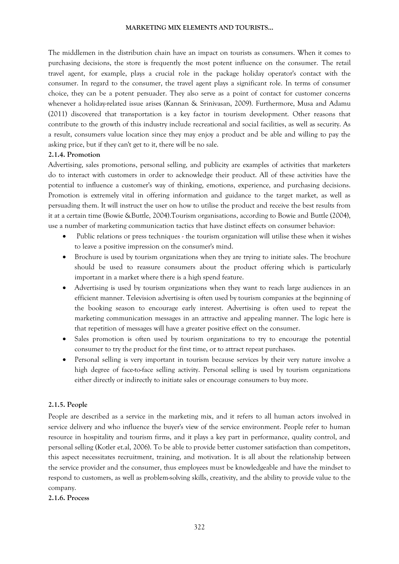The middlemen in the distribution chain have an impact on tourists as consumers. When it comes to purchasing decisions, the store is frequently the most potent influence on the consumer. The retail travel agent, for example, plays a crucial role in the package holiday operator's contact with the consumer. In regard to the consumer, the travel agent plays a significant role. In terms of consumer choice, they can be a potent persuader. They also serve as a point of contact for customer concerns whenever a holiday-related issue arises (Kannan & Srinivasan, 2009). Furthermore, Musa and Adamu (2011) discovered that transportation is a key factor in tourism development. Other reasons that contribute to the growth of this industry include recreational and social facilities, as well as security. As a result, consumers value location since they may enjoy a product and be able and willing to pay the asking price, but if they can't get to it, there will be no sale.

## **2.1.4. Promotion**

Advertising, sales promotions, personal selling, and publicity are examples of activities that marketers do to interact with customers in order to acknowledge their product. All of these activities have the potential to influence a customer's way of thinking, emotions, experience, and purchasing decisions. Promotion is extremely vital in offering information and guidance to the target market, as well as persuading them. It will instruct the user on how to utilise the product and receive the best results from it at a certain time (Bowie &Buttle, 2004).Tourism organisations, according to Bowie and Buttle (2004), use a number of marketing communication tactics that have distinct effects on consumer behavior:

- Public relations or press techniques the tourism organization will utilise these when it wishes to leave a positive impression on the consumer's mind.
- Brochure is used by tourism organizations when they are trying to initiate sales. The brochure should be used to reassure consumers about the product offering which is particularly important in a market where there is a high spend feature.
- Advertising is used by tourism organizations when they want to reach large audiences in an efficient manner. Television advertising is often used by tourism companies at the beginning of the booking season to encourage early interest. Advertising is often used to repeat the marketing communication messages in an attractive and appealing manner. The logic here is that repetition of messages will have a greater positive effect on the consumer.
- Sales promotion is often used by tourism organizations to try to encourage the potential consumer to try the product for the first time, or to attract repeat purchases.
- Personal selling is very important in tourism because services by their very nature involve a high degree of face-to-face selling activity. Personal selling is used by tourism organizations either directly or indirectly to initiate sales or encourage consumers to buy more.

## **2.1.5. People**

People are described as a service in the marketing mix, and it refers to all human actors involved in service delivery and who influence the buyer's view of the service environment. People refer to human resource in hospitality and tourism firms, and it plays a key part in performance, quality control, and personal selling (Kotler et.al, 2006). To be able to provide better customer satisfaction than competitors, this aspect necessitates recruitment, training, and motivation. It is all about the relationship between the service provider and the consumer, thus employees must be knowledgeable and have the mindset to respond to customers, as well as problem-solving skills, creativity, and the ability to provide value to the company.

#### **2.1.6. Process**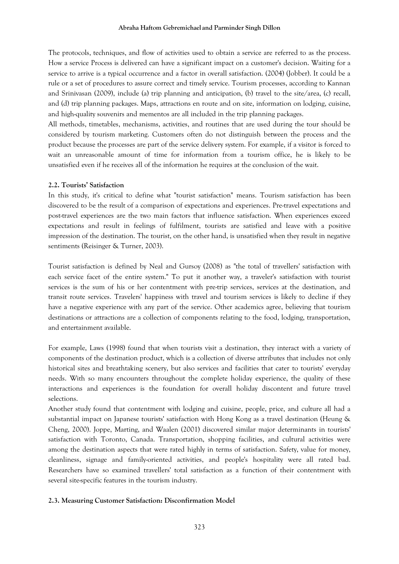#### **Abraha Haftom Gebremichael and Parminder Singh Dillon**

The protocols, techniques, and flow of activities used to obtain a service are referred to as the process. How a service Process is delivered can have a significant impact on a customer's decision. Waiting for a service to arrive is a typical occurrence and a factor in overall satisfaction. (2004) (Jobber). It could be a rule or a set of procedures to assure correct and timely service. Tourism processes, according to Kannan and Srinivasan (2009), include (a) trip planning and anticipation, (b) travel to the site/area, (c) recall, and (d) trip planning packages. Maps, attractions en route and on site, information on lodging, cuisine, and high-quality souvenirs and mementos are all included in the trip planning packages.

All methods, timetables, mechanisms, activities, and routines that are used during the tour should be considered by tourism marketing. Customers often do not distinguish between the process and the product because the processes are part of the service delivery system. For example, if a visitor is forced to wait an unreasonable amount of time for information from a tourism office, he is likely to be unsatisfied even if he receives all of the information he requires at the conclusion of the wait.

# **2.2. Tourists' Satisfaction**

In this study, it's critical to define what "tourist satisfaction" means. Tourism satisfaction has been discovered to be the result of a comparison of expectations and experiences. Pre-travel expectations and post-travel experiences are the two main factors that influence satisfaction. When experiences exceed expectations and result in feelings of fulfilment, tourists are satisfied and leave with a positive impression of the destination. The tourist, on the other hand, is unsatisfied when they result in negative sentiments (Reisinger & Turner, 2003).

Tourist satisfaction is defined by Neal and Gursoy (2008) as "the total of travellers' satisfaction with each service facet of the entire system." To put it another way, a traveler's satisfaction with tourist services is the sum of his or her contentment with pre-trip services, services at the destination, and transit route services. Travelers' happiness with travel and tourism services is likely to decline if they have a negative experience with any part of the service. Other academics agree, believing that tourism destinations or attractions are a collection of components relating to the food, lodging, transportation, and entertainment available.

For example, Laws (1998) found that when tourists visit a destination, they interact with a variety of components of the destination product, which is a collection of diverse attributes that includes not only historical sites and breathtaking scenery, but also services and facilities that cater to tourists' everyday needs. With so many encounters throughout the complete holiday experience, the quality of these interactions and experiences is the foundation for overall holiday discontent and future travel selections.

Another study found that contentment with lodging and cuisine, people, price, and culture all had a substantial impact on Japanese tourists' satisfaction with Hong Kong as a travel destination (Heung & Cheng, 2000). Joppe, Marting, and Waalen (2001) discovered similar major determinants in tourists' satisfaction with Toronto, Canada. Transportation, shopping facilities, and cultural activities were among the destination aspects that were rated highly in terms of satisfaction. Safety, value for money, cleanliness, signage and family-oriented activities, and people's hospitality were all rated bad. Researchers have so examined travellers' total satisfaction as a function of their contentment with several site-specific features in the tourism industry.

# **2.3. Measuring Customer Satisfaction: Disconfirmation Model**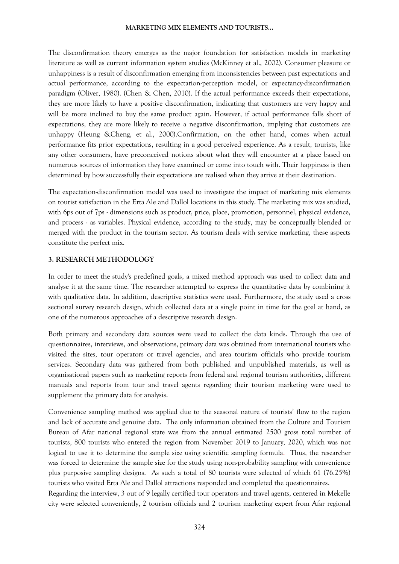The disconfirmation theory emerges as the major foundation for satisfaction models in marketing literature as well as current information system studies (McKinney et al., 2002). Consumer pleasure or unhappiness is a result of disconfirmation emerging from inconsistencies between past expectations and actual performance, according to the expectation-perception model, or expectancy-disconfirmation paradigm (Oliver, 1980). (Chen & Chen, 2010). If the actual performance exceeds their expectations, they are more likely to have a positive disconfirmation, indicating that customers are very happy and will be more inclined to buy the same product again. However, if actual performance falls short of expectations, they are more likely to receive a negative disconfirmation, implying that customers are unhappy (Heung &Cheng, et al., 2000).Confirmation, on the other hand, comes when actual performance fits prior expectations, resulting in a good perceived experience. As a result, tourists, like any other consumers, have preconceived notions about what they will encounter at a place based on numerous sources of information they have examined or come into touch with. Their happiness is then determined by how successfully their expectations are realised when they arrive at their destination.

The expectation-disconfirmation model was used to investigate the impact of marketing mix elements on tourist satisfaction in the Erta Ale and Dallol locations in this study. The marketing mix was studied, with 6ps out of 7ps - dimensions such as product, price, place, promotion, personnel, physical evidence, and process - as variables. Physical evidence, according to the study, may be conceptually blended or merged with the product in the tourism sector. As tourism deals with service marketing, these aspects constitute the perfect mix.

## **3. RESEARCH METHODOLOGY**

In order to meet the study's predefined goals, a mixed method approach was used to collect data and analyse it at the same time. The researcher attempted to express the quantitative data by combining it with qualitative data. In addition, descriptive statistics were used. Furthermore, the study used a cross sectional survey research design, which collected data at a single point in time for the goal at hand, as one of the numerous approaches of a descriptive research design.

Both primary and secondary data sources were used to collect the data kinds. Through the use of questionnaires, interviews, and observations, primary data was obtained from international tourists who visited the sites, tour operators or travel agencies, and area tourism officials who provide tourism services. Secondary data was gathered from both published and unpublished materials, as well as organisational papers such as marketing reports from federal and regional tourism authorities, different manuals and reports from tour and travel agents regarding their tourism marketing were used to supplement the primary data for analysis.

Convenience sampling method was applied due to the seasonal nature of tourists' flow to the region and lack of accurate and genuine data. The only information obtained from the Culture and Tourism Bureau of Afar national regional state was from the annual estimated 2500 gross total number of tourists, 800 tourists who entered the region from November 2019 to January, 2020, which was not logical to use it to determine the sample size using scientific sampling formula. Thus, the researcher was forced to determine the sample size for the study using non-probability sampling with convenience plus purposive sampling designs. As such a total of 80 tourists were selected of which 61 (76.25%) tourists who visited Erta Ale and Dallol attractions responded and completed the questionnaires. Regarding the interview, 3 out of 9 legally certified tour operators and travel agents, centered in Mekelle city were selected conveniently, 2 tourism officials and 2 tourism marketing expert from Afar regional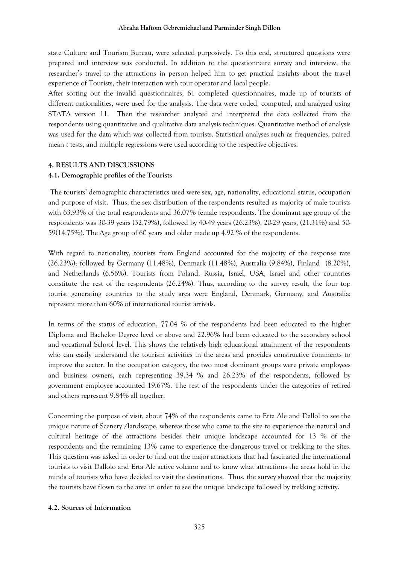state Culture and Tourism Bureau, were selected purposively. To this end, structured questions were prepared and interview was conducted. In addition to the questionnaire survey and interview, the researcher's travel to the attractions in person helped him to get practical insights about the travel experience of Tourists, their interaction with tour operator and local people.

After sorting out the invalid questionnaires, 61 completed questionnaires, made up of tourists of different nationalities, were used for the analysis. The data were coded, computed, and analyzed using STATA version 11. Then the researcher analyzed and interpreted the data collected from the respondents using quantitative and qualitative data analysis techniques. Quantitative method of analysis was used for the data which was collected from tourists. Statistical analyses such as frequencies, paired mean *t* tests, and multiple regressions were used according to the respective objectives.

#### **4. RESULTS AND DISCUSSIONS**

#### **4.1. Demographic profiles of the Tourists**

The tourists' demographic characteristics used were sex, age, nationality, educational status, occupation and purpose of visit. Thus, the sex distribution of the respondents resulted as majority of male tourists with 63.93% of the total respondents and 36.07% female respondents. The dominant age group of the respondents was 30-39 years (32.79%), followed by 40-49 years (26.23%), 20-29 years, (21.31%) and 50- 59(14.75%). The Age group of 60 years and older made up 4.92 % of the respondents.

With regard to nationality, tourists from England accounted for the majority of the response rate (26.23%); followed by Germany (11.48%), Denmark (11.48%), Australia (9.84%), Finland (8.20%), and Netherlands (6.56%). Tourists from Poland, Russia, Israel, USA, Israel and other countries constitute the rest of the respondents (26.24%). Thus, according to the survey result, the four top tourist generating countries to the study area were England, Denmark, Germany, and Australia; represent more than 60% of international tourist arrivals.

In terms of the status of education, 77.04 % of the respondents had been educated to the higher Diploma and Bachelor Degree level or above and 22.96% had been educated to the secondary school and vocational School level. This shows the relatively high educational attainment of the respondents who can easily understand the tourism activities in the areas and provides constructive comments to improve the sector. In the occupation category, the two most dominant groups were private employees and business owners, each representing 39.34 % and 26.23% of the respondents, followed by government employee accounted 19.67%. The rest of the respondents under the categories of retired and others represent 9.84% all together.

Concerning the purpose of visit, about 74% of the respondents came to Erta Ale and Dallol to see the unique nature of Scenery /landscape, whereas those who came to the site to experience the natural and cultural heritage of the attractions besides their unique landscape accounted for 13 % of the respondents and the remaining 13% came to experience the dangerous travel or trekking to the sites. This question was asked in order to find out the major attractions that had fascinated the international tourists to visit Dallolo and Erta Ale active volcano and to know what attractions the areas hold in the minds of tourists who have decided to visit the destinations. Thus, the survey showed that the majority the tourists have flown to the area in order to see the unique landscape followed by trekking activity.

#### **4.2. Sources of Information**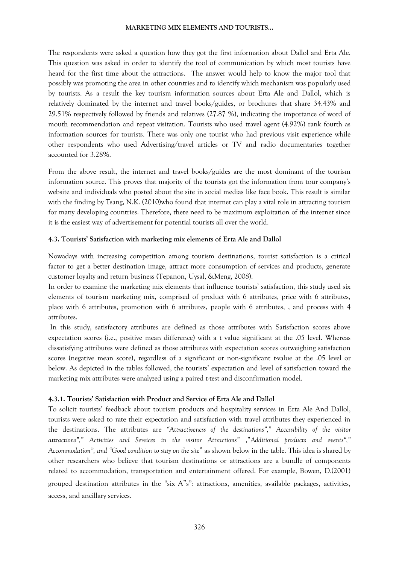The respondents were asked a question how they got the first information about Dallol and Erta Ale. This question was asked in order to identify the tool of communication by which most tourists have heard for the first time about the attractions. The answer would help to know the major tool that possibly was promoting the area in other countries and to identify which mechanism was popularly used by tourists. As a result the key tourism information sources about Erta Ale and Dallol, which is relatively dominated by the internet and travel books/guides, or brochures that share 34.43% and 29.51% respectively followed by friends and relatives (27.87 %), indicating the importance of word of mouth recommendation and repeat visitation. Tourists who used travel agent (4.92%) rank fourth as information sources for tourists. There was only one tourist who had previous visit experience while other respondents who used Advertising/travel articles or TV and radio documentaries together accounted for 3.28%.

From the above result, the internet and travel books/guides are the most dominant of the tourism information source. This proves that majority of the tourists got the information from tour company's website and individuals who posted about the site in social medias like face book. This result is similar with the finding by Tsang, N.K. (2010)who found that internet can play a vital role in attracting tourism for many developing countries. Therefore, there need to be maximum exploitation of the internet since it is the easiest way of advertisement for potential tourists all over the world.

## **4.3. Tourists' Satisfaction with marketing mix elements of Erta Ale and Dallol**

Nowadays with increasing competition among tourism destinations, tourist satisfaction is a critical factor to get a better destination image, attract more consumption of services and products, generate customer loyalty and return business (Tepanon, Uysal, &Meng, 2008).

In order to examine the marketing mix elements that influence tourists' satisfaction, this study used six elements of tourism marketing mix, comprised of product with 6 attributes, price with 6 attributes, place with 6 attributes, promotion with 6 attributes, people with 6 attributes, , and process with 4 attributes.

In this study, satisfactory attributes are defined as those attributes with Satisfaction scores above expectation scores (i.e., positive mean difference) with a *t* value significant at the .05 level. Whereas dissatisfying attributes were defined as those attributes with expectation scores outweighing satisfaction scores (negative mean score), regardless of a significant or non-significant t-value at the .05 level or below. As depicted in the tables followed, the tourists' expectation and level of satisfaction toward the marketing mix attributes were analyzed using a paired t-test and disconfirmation model.

## **4.3.1. Tourists' Satisfaction with Product and Service of Erta Ale and Dallol**

To solicit tourists' feedback about tourism products and hospitality services in Erta Ale And Dallol, tourists were asked to rate their expectation and satisfaction with travel attributes they experienced in the destinations. The attributes are *"Attractiveness of the destinations"," Accessibility of the visitor attractions"," Activities and Services in the visitor Attractions"* ,"*Additional products and events"," Accommodation", and "Good condition to stay on the site*" as shown below in the table. This idea is shared by other researchers who believe that tourism destinations or attractions are a bundle of components related to accommodation, transportation and entertainment offered. For example, Bowen, D.(2001) grouped destination attributes in the "six A"s": attractions, amenities, available packages, activities, access, and ancillary services.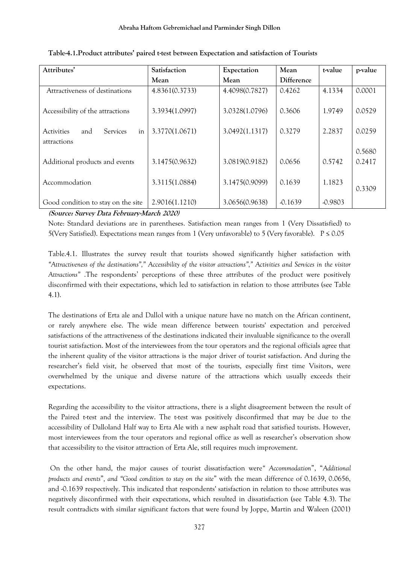| Attributes'                                                      | Satisfaction   | Expectation    | Mean<br>t-value |           | p-value          |
|------------------------------------------------------------------|----------------|----------------|-----------------|-----------|------------------|
|                                                                  | Mean           | Mean           | Difference      |           |                  |
| Attractiveness of destinations                                   | 4.8361(0.3733) | 4.4098(0.7827) | 0.4262          | 4.1334    | 0.0001           |
| Accessibility of the attractions                                 | 3.3934(1.0997) | 3.0328(1.0796) | 0.3606          | 1.9749    | 0.0529           |
| <b>Services</b><br><b>Activities</b><br>in<br>and<br>attractions | 3.3770(1.0671) | 3.0492(1.1317) | 0.3279          | 2.2837    | 0.0259           |
| Additional products and events                                   | 3.1475(0.9632) | 3.0819(0.9182) | 0.0656          | 0.5742    | 0.5680<br>0.2417 |
| Accommodation                                                    | 3.3115(1.0884) | 3.1475(0.9099) | 0.1639          | 1.1823    | 0.3309           |
| Good condition to stay on the site                               | 2.9016(1.1210) | 3.0656(0.9638) | $-0.1639$       | $-0.9803$ |                  |

# **Table-4.1.Product attributes' paired t-test between Expectation and satisfaction of Tourists**

**(Source: Survey Data February-March 2020)** 

Note: Standard deviations are in parentheses. Satisfaction mean ranges from 1 (Very Dissatisfied) to 5(Very Satisfied). Expectations mean ranges from 1 (Very unfavorable) to 5 (Very favorable). P ≤ 0.05

Table.4.1. Illustrates the survey result that tourists showed significantly higher satisfaction with *"Attractiveness of the destinations"," Accessibility of the visitor attractions"," Activities and Services in the visitor Attractions"* .The respondents' perceptions of these three attributes of the product were positively disconfirmed with their expectations, which led to satisfaction in relation to those attributes (see Table 4.1).

The destinations of Erta ale and Dallol with a unique nature have no match on the African continent, or rarely anywhere else. The wide mean difference between tourists' expectation and perceived satisfactions of the attractiveness of the destinations indicated their invaluable significance to the overall tourist satisfaction. Most of the interviewees from the tour operators and the regional officials agree that the inherent quality of the visitor attractions is the major driver of tourist satisfaction. And during the researcher's field visit, he observed that most of the tourists, especially first time Visitors, were overwhelmed by the unique and diverse nature of the attractions which usually exceeds their expectations.

Regarding the accessibility to the visitor attractions, there is a slight disagreement between the result of the Paired t-test and the interview. The t-test was positively disconfirmed that may be due to the accessibility of Dalloland Half way to Erta Ale with a new asphalt road that satisfied tourists. However, most interviewees from the tour operators and regional office as well as researcher's observation show that accessibility to the visitor attraction of Erta Ale, still requires much improvement.

On the other hand, the major causes of tourist dissatisfaction were*" Accommodation*", "*Additional products and events*"*, and "Good condition to stay on the site*" with the mean difference of 0.1639, 0.0656, and -0.1639 respectively. This indicated that respondents' satisfaction in relation to those attributes was negatively disconfirmed with their expectations, which resulted in dissatisfaction (see Table 4.3). The result contradicts with similar significant factors that were found by Joppe, Martin and Waleen (2001)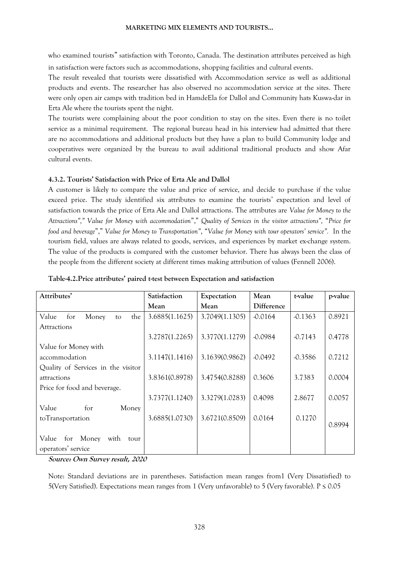who examined tourists" satisfaction with Toronto, Canada. The destination attributes perceived as high in satisfaction were factors such as accommodations, shopping facilities and cultural events.

The result revealed that tourists were dissatisfied with Accommodation service as well as additional products and events. The researcher has also observed no accommodation service at the sites. There were only open air camps with tradition bed in HamdeEla for Dallol and Community hats Kuswa-dar in Erta Ale where the tourists spent the night.

The tourists were complaining about the poor condition to stay on the sites. Even there is no toilet service as a minimal requirement. The regional bureau head in his interview had admitted that there are no accommodations and additional products but they have a plan to build Community lodge and cooperatives were organized by the bureau to avail additional traditional products and show Afar cultural events.

# **4.3.2. Tourists' Satisfaction with Price of Erta Ale and Dallol**

A customer is likely to compare the value and price of service, and decide to purchase if the value exceed price. The study identified six attributes to examine the tourists' expectation and level of satisfaction towards the price of Erta Ale and Dallol attractions. The attributes are *Value for Money to the Attractions"," Value for Money with accommodation*"," *Quality of Services in the visitor attractions",* "*Price for food and beverage*"," *Value for Money to Transportation"*, "*Value for Money with tour operators' service".* In the tourism field, values are always related to goods, services, and experiences by market ex-change system. The value of the products is compared with the customer behavior. There has always been the class of the people from the different society at different times making attribution of values (Fennell 2006).

| Attributes'                        | Satisfaction   | Expectation    | Mean       | t-value   | p-value |
|------------------------------------|----------------|----------------|------------|-----------|---------|
|                                    | Mean           | Mean           | Difference |           |         |
| Value<br>for<br>Money<br>the<br>to | 3.6885(1.1625) | 3.7049(1.1305) | $-0.0164$  | $-0.1363$ | 0.8921  |
| <b>Attractions</b>                 |                |                |            |           |         |
|                                    | 3.2787(1.2265) | 3.3770(1.1279) | $-0.0984$  | $-0.7143$ | 0.4778  |
| Value for Money with               |                |                |            |           |         |
| accommodation                      | 3.1147(1.1416) | 3.1639(0.9862) | $-0.0492$  | $-0.3586$ | 0.7212  |
| Quality of Services in the visitor |                |                |            |           |         |
| attractions                        | 3.8361(0.8978) | 3.4754(0.8288) | 0.3606     | 3.7383    | 0.0004  |
| Price for food and beverage.       |                |                |            |           |         |
|                                    | 3.7377(1.1240) | 3.3279(1.0283) | 0.4098     | 2.8677    | 0.0057  |
| Value<br>Money<br>for              |                |                |            |           |         |
| toTransportation                   | 3.6885(1.0730) | 3.6721(0.8509) | 0.0164     | 0.1270    |         |
|                                    |                |                |            |           | 0.8994  |
| Value<br>for Money<br>with<br>tour |                |                |            |           |         |
| operators' service                 |                |                |            |           |         |

**Source: Own Survey result, 2020**

Note: Standard deviations are in parentheses. Satisfaction mean ranges from1 (Very Dissatisfied) to 5(Very Satisfied). Expectations mean ranges from 1 (Very unfavorable) to 5 (Very favorable). P ≤ 0.05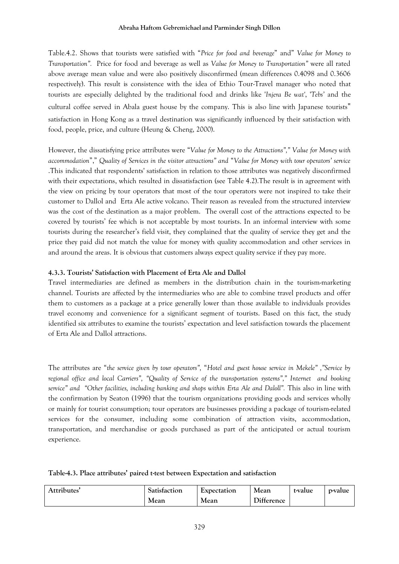## **Abraha Haftom Gebremichael and Parminder Singh Dillon**

Table.4.2. Shows that tourists were satisfied with "*Price for food and beverage*" and" *Value for Money to Transportation".* Price for food and beverage as well as *Value for Money to Transportation"* were all rated above average mean value and were also positively disconfirmed (mean differences 0.4098 and 0.3606 respectively). This result is consistence with the idea of Ethio Tour-Travel manager who noted that tourists are especially delighted by the traditional food and drinks like '*Injera Be wat'*, '*Tebs'* and the cultural coffee served in Abala guest house by the company. This is also line with Japanese tourists" satisfaction in Hong Kong as a travel destination was significantly influenced by their satisfaction with food, people, price, and culture (Heung & Cheng, 2000).

However, the dissatisfying price attributes were "*Value for Money to the Attractions"," Value for Money with accommodation*"," *Quality of Services in the visitor attractions" and* "*Value for Money with tour operators' service*  .This indicated that respondents' satisfaction in relation to those attributes was negatively disconfirmed with their expectations, which resulted in dissatisfaction (see Table 4.2).The result is in agreement with the view on pricing by tour operators that most of the tour operators were not inspired to take their customer to Dallol and Erta Ale active volcano. Their reason as revealed from the structured interview was the cost of the destination as a major problem. The overall cost of the attractions expected to be covered by tourists' fee which is not acceptable by most tourists. In an informal interview with some tourists during the researcher's field visit, they complained that the quality of service they get and the price they paid did not match the value for money with quality accommodation and other services in and around the areas. It is obvious that customers always expect quality service if they pay more.

# **4.3.3. Tourists' Satisfaction with Placement of Erta Ale and Dallol**

Travel intermediaries are defined as members in the distribution chain in the tourism-marketing channel. Tourists are affected by the intermediaries who are able to combine travel products and offer them to customers as a package at a price generally lower than those available to individuals provides travel economy and convenience for a significant segment of tourists. Based on this fact, the study identified six attributes to examine the tourists' expectation and level satisfaction towards the placement of Erta Ale and Dallol attractions.

The attributes are "*the service given by tour operators",* "*Hotel and guest house service in Mekele" ,"Service by regional office and local Carriers", "Quality of Service of the transportation systems"," Internet and booking service" and "Other facilities, including banking and shops within Erta Ale and Daloll".* This also in line with the confirmation by Seaton (1996) that the tourism organizations providing goods and services wholly or mainly for tourist consumption; tour operators are businesses providing a package of tourism-related services for the consumer, including some combination of attraction visits, accommodation, transportation, and merchandise or goods purchased as part of the anticipated or actual tourism experience.

|  |  | Table-4.3. Place attributes' paired t-test between Expectation and satisfaction |
|--|--|---------------------------------------------------------------------------------|
|--|--|---------------------------------------------------------------------------------|

| Attributes' | Satisfaction | Mean<br>Expectation |            | t-value | p-value |
|-------------|--------------|---------------------|------------|---------|---------|
|             | Mean         | Mean                | Difference |         |         |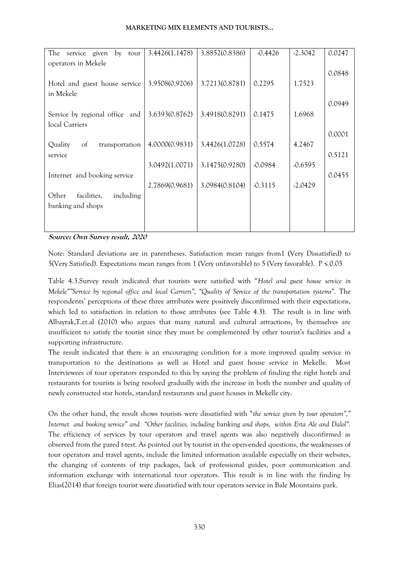| The<br>service<br>given<br>by tour    | 3.4426(1.1478) | 3.8852(0.8386) | $-0.4426$ | $-2.3042$ | 0.0247 |
|---------------------------------------|----------------|----------------|-----------|-----------|--------|
| operators in Mekele                   |                |                |           |           |        |
|                                       |                |                |           |           | 0.0848 |
| Hotel and guest house service         | 3.9508(0.9206) | 3.7213(0.8781) | 0.2295    | 1.7523    |        |
| in Mekele                             |                |                |           |           |        |
|                                       |                |                |           |           | 0.0949 |
| Service by regional office and        | 3.6393(0.8762) | 3.4918(0.8291) | 0.1475    | 1.6968    |        |
| local Carriers                        |                |                |           |           |        |
|                                       |                |                |           |           | 0.0001 |
| Quality<br>$\sigma$<br>transportation | 4.0000(0.9831) | 3.4426(1.0728) | 0.5574    | 4.2467    |        |
| service                               |                |                |           |           | 0.5121 |
|                                       | 3.0492(1.0071) | 3.1475(0.9280) | $-0.0984$ | $-0.6595$ |        |
| Internet and booking service          |                |                |           |           | 0.0455 |
|                                       | 2.7869(0.9681) | 3.0984(0.8104) | $-0.3115$ | $-2.0429$ |        |
| Other<br>facilities,<br>including     |                |                |           |           |        |
| banking and shops                     |                |                |           |           |        |
|                                       |                |                |           |           |        |
|                                       |                |                |           |           |        |

**Source: Own Survey result, 2020**

Note: Standard deviations are in parentheses. Satisfaction mean ranges from1 (Very Dissatisfied) to 5(Very Satisfied). Expectations mean ranges from 1 (Very unfavorable) to 5 (Very favorable). P ≤ 0.05

Table 4.3.Survey result indicated that tourists were satisfied with "*Hotel and guest house service in Mekele""Service by regional office and local Carriers", "Quality of Service of the transportation systems".* The respondents' perceptions of these three attributes were positively disconfirmed with their expectations, which led to satisfaction in relation to those attributes (see Table 4.3). The result is in line with Albayrak,T.et.al (2010) who argues that many natural and cultural attractions, by themselves are insufficient to satisfy the tourist since they must be complemented by other tourist's facilities and a supporting infrastructure.

The result indicated that there is an encouraging condition for a more improved quality service in transportation to the destinations as well as Hotel and guest house service in Mekelle. Most Interviewees of tour operators responded to this by saying the problem of finding the right hotels and restaurants for tourists is being resolved gradually with the increase in both the number and quality of newly constructed star hotels, standard restaurants and guest houses in Mekelle city.

On the other hand, the result shows tourists were dissatisfied with "*the service given by tour operators"," Internet and booking service" and "Other facilities, including* banking *and shops, within Erta Ale and Dalol".*  The efficiency of services by tour operators and travel agents was also negatively disconfirmed as observed from the pared t-test. As pointed out by tourist in the open-ended questions, the weaknesses of tour operators and travel agents, include the limited information available especially on their websites, the changing of contents of trip packages, lack of professional guides, poor communication and information exchange with international tour operators. This result is in line with the finding by Elias(2014) that foreign tourist were dissatisfied with tour operators service in Bale Mountains park.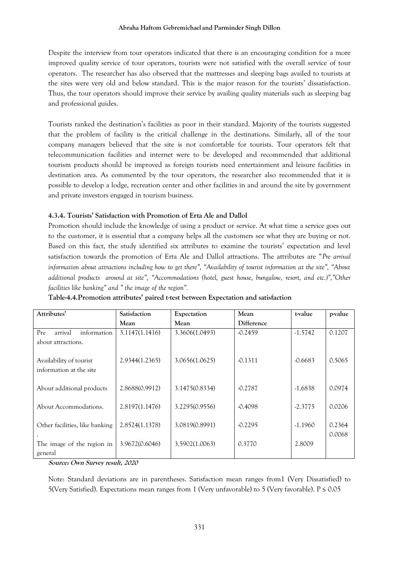Despite the interview from tour operators indicated that there is an encouraging condition for a more improved quality service of tour operators, tourists were not satisfied with the overall service of tour operators. The researcher has also observed that the mattresses and sleeping bags availed to tourists at the sites were very old and below standard. This is the major reason for the tourists' dissatisfaction. Thus, the tour operators should improve their service by availing quality materials such as sleeping bag and professional guides.

Tourists ranked the destination's facilities as poor in their standard. Majority of the tourists suggested that the problem of facility is the critical challenge in the destinations. Similarly, all of the tour company managers believed that the site is not comfortable for tourists. Tour operators felt that telecommunication facilities and internet were to be developed and recommended that additional tourism products should be improved as foreign tourists need entertainment and leisure facilities in destination area. As commented by the tour operators, the researcher also recommended that it is possible to develop a lodge, recreation center and other facilities in and around the site by government and private investors engaged in tourism business.

# **4.3.4. Tourists' Satisfaction with Promotion of Erta Ale and Dallol**

Promotion should include the knowledge of using a product or service. At what time a service goes out to the customer, it is essential that a company helps all the customers see what they are buying or not. Based on this fact, the study identified six attributes to examine the tourists' expectation and level satisfaction towards the promotion of Erta Ale and Dallol attractions. The attributes are "*Pre arrival information about attractions including how to get there", "Availability of tourist information at the site", "About additional products around at site", "Accommodations (hotel, guest house, bungalow, resort, and etc.)","Other facilities like banking" and " the image of the region".*

| Attributes'                                         | <b>Satisfaction</b> | Expectation    | Mean       | t-value   | p-value          |
|-----------------------------------------------------|---------------------|----------------|------------|-----------|------------------|
|                                                     | Mean                | Mean           | Difference |           |                  |
| Pre<br>arrival<br>information<br>about attractions. | 3.1147(1.1416)      | 3.3606(1.0493) | $-0.2459$  | $-1.5742$ | 0.1207           |
| Availability of tourist<br>information at the site  | 2.9344(1.2365)      | 3.0656(1.0625) | $-0.1311$  | $-0.6683$ | 0.5065           |
| About additional products                           | 2.8688(0.9912)      | 3.1475(0.8334) | $-0.2787$  | $-1.6838$ | 0.0974           |
| About Accommodations.                               | 2.8197(1.1476)      | 3.2295(0.9556) | $-0.4098$  | $-2.3775$ | 0.0206           |
| Other facilities, like banking                      | 2.8524(1.1378)      | 3.0819(0.8991) | $-0.2295$  | $-1.1960$ | 0.2364<br>0.0068 |
| The image of the region in<br>general               | 3.9672(0.6046)      | 3.5902(1.0063) | 0.3770     | 2.8009    |                  |

**Table-4.4.Promotion attributes' paired t-test between Expectation and satisfaction** 

**Source: Own Survey result, 2020**

Note: Standard deviations are in parentheses. Satisfaction mean ranges from1 (Very Dissatisfied) to 5(Very Satisfied). Expectations mean ranges from 1 (Very unfavorable) to 5 (Very favorable). P ≤ 0.05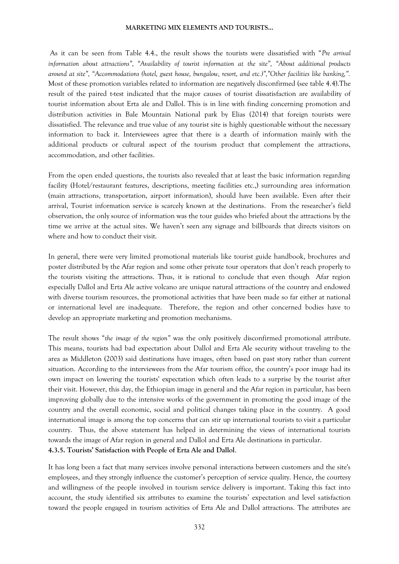As it can be seen from Table 4.4., the result shows the tourists were dissatisfied with "*Pre arrival information about attractions", "Availability of tourist information at the site", "About additional products around at site", "Accommodations (hotel, guest house, bungalow, resort, and etc.)","Other facilities like banking,".*  Most of these promotion variables related to information are negatively disconfirmed (see table 4.4).The result of the paired t-test indicated that the major causes of tourist dissatisfaction are availability of tourist information about Erta ale and Dallol. This is in line with finding concerning promotion and distribution activities in Bale Mountain National park by Elias (2014) that foreign tourists were dissatisfied. The relevance and true value of any tourist site is highly questionable without the necessary information to back it. Interviewees agree that there is a dearth of information mainly with the additional products or cultural aspect of the tourism product that complement the attractions, accommodation, and other facilities.

From the open ended questions, the tourists also revealed that at least the basic information regarding facility (Hotel/restaurant features, descriptions, meeting facilities etc.,) surrounding area information (main attractions, transportation, airport information), should have been available. Even after their arrival, Tourist information service is scarcely known at the destinations. From the researcher's field observation, the only source of information was the tour guides who briefed about the attractions by the time we arrive at the actual sites. We haven't seen any signage and billboards that directs visitors on where and how to conduct their visit.

In general, there were very limited promotional materials like tourist guide handbook, brochures and poster distributed by the Afar region and some other private tour operators that don't reach properly to the tourists visiting the attractions. Thus, it is rational to conclude that even though Afar region especially Dallol and Erta Ale active volcano are unique natural attractions of the country and endowed with diverse tourism resources, the promotional activities that have been made so far either at national or international level are inadequate. Therefore, the region and other concerned bodies have to develop an appropriate marketing and promotion mechanisms.

The result shows "*the image of the region"* was the only positively disconfirmed promotional attribute. This means, tourists had bad expectation about Dallol and Erta Ale security without traveling to the area as Middleton (2003) said destinations have images, often based on past story rather than current situation. According to the interviewees from the Afar tourism office, the country's poor image had its own impact on lowering the tourists' expectation which often leads to a surprise by the tourist after their visit. However, this day, the Ethiopian image in general and the Afar region in particular, has been improving globally due to the intensive works of the government in promoting the good image of the country and the overall economic, social and political changes taking place in the country. A good international image is among the top concerns that can stir up international tourists to visit a particular country. Thus, the above statement has helped in determining the views of international tourists towards the image of Afar region in general and Dallol and Erta Ale destinations in particular. **4.3.5. Tourists' Satisfaction with People of Erta Ale and Dallol**.

It has long been a fact that many services involve personal interactions between customers and the site's employees, and they strongly influence the customer's perception of service quality. Hence, the courtesy and willingness of the people involved in tourism service delivery is important. Taking this fact into account, the study identified six attributes to examine the tourists' expectation and level satisfaction toward the people engaged in tourism activities of Erta Ale and Dallol attractions. The attributes are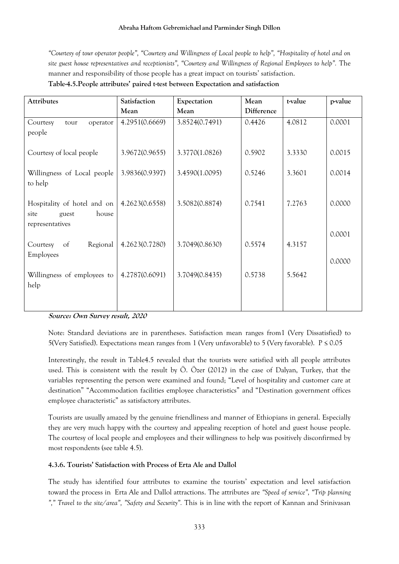*"Courtesy of tour operator people", "Courtesy and Willingness of Local people to help", "Hospitality of hotel and on site guest house representatives and receptionists", "Courtesy and Willingness of Regional Employees to help".* The manner and responsibility of those people has a great impact on tourists' satisfaction.

|  |  | Table-4.5. People attributes' paired t-test between Expectation and satisfaction |
|--|--|----------------------------------------------------------------------------------|
|--|--|----------------------------------------------------------------------------------|

| Attributes                                | Satisfaction   | Expectation    | Mean       | t-value | p-value |
|-------------------------------------------|----------------|----------------|------------|---------|---------|
|                                           | Mean           | Mean           | Difference |         |         |
| Courtesy<br>operator<br>tour              | 4.2951(0.6669) | 3.8524(0.7491) | 0.4426     | 4.0812  | 0.0001  |
| people                                    |                |                |            |         |         |
| Courtesy of local people                  | 3.9672(0.9655) | 3.3770(1.0826) | 0.5902     | 3.3330  | 0.0015  |
| Willingness of Local people               | 3.9836(0.9397) | 3.4590(1.0095) | 0.5246     | 3.3601  | 0.0014  |
| to help                                   |                |                |            |         |         |
| Hospitality of hotel and on               | 4.2623(0.6558) | 3.5082(0.8874) | 0.7541     | 7.2763  | 0.0000  |
| house<br>site<br>guest<br>representatives |                |                |            |         |         |
|                                           |                |                |            |         | 0.0001  |
| Regional<br>Courtesy<br>of<br>Employees   | 4.2623(0.7280) | 3.7049(0.8630) | 0.5574     | 4.3157  |         |
|                                           |                |                |            |         | 0.0000  |
| Willingness of employees to               | 4.2787(0.6091) | 3.7049(0.8435) | 0.5738     | 5.5642  |         |
| help                                      |                |                |            |         |         |
|                                           |                |                |            |         |         |

**Source: Own Survey result, 2020**

Note: Standard deviations are in parentheses. Satisfaction mean ranges from1 (Very Dissatisfied) to 5(Very Satisfied). Expectations mean ranges from 1 (Very unfavorable) to 5 (Very favorable).  $P \le 0.05$ 

Interestingly, the result in Table4.5 revealed that the tourists were satisfied with all people attributes used. This is consistent with the result by Ö. Özer (2012) in the case of Dalyan, Turkey, that the variables representing the person were examined and found; "Level of hospitality and customer care at destination" "Accommodation facilities employee characteristics" and "Destination government offices employee characteristic" as satisfactory attributes.

Tourists are usually amazed by the genuine friendliness and manner of Ethiopians in general. Especially they are very much happy with the courtesy and appealing reception of hotel and guest house people. The courtesy of local people and employees and their willingness to help was positively disconfirmed by most respondents (see table 4.5).

# **4.3.6. Tourists' Satisfaction with Process of Erta Ale and Dallol**

The study has identified four attributes to examine the tourists' expectation and level satisfaction toward the process in Erta Ale and Dallol attractions. The attributes are *"Speed of service", "Trip planning "," Travel to the site/area", "Safety and Security".* This is in line with the report of Kannan and Srinivasan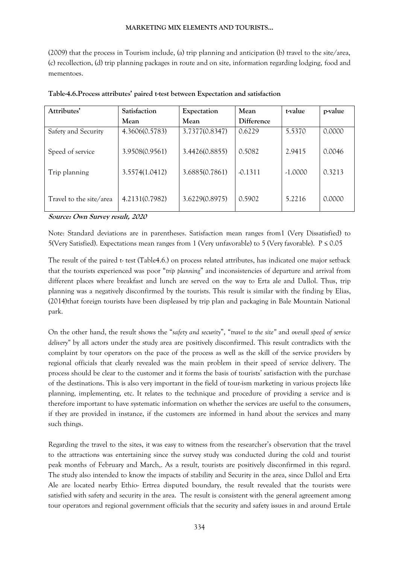(2009) that the process in Tourism include, (a) trip planning and anticipation (b) travel to the site/area, (c) recollection, (d) trip planning packages in route and on site, information regarding lodging, food and mementoes.

| Attributes'             | Satisfaction   | Expectation    | Mean       | t-value   | p-value |
|-------------------------|----------------|----------------|------------|-----------|---------|
|                         | Mean           | Mean           | Difference |           |         |
| Safety and Security     | 4.3606(0.5783) | 3.7377(0.8347) | 0.6229     | 5.5370    | 0.0000  |
| Speed of service        | 3.9508(0.9561) | 3.4426(0.8855) | 0.5082     | 2.9415    | 0.0046  |
| Trip planning           | 3.5574(1.0412) | 3.6885(0.7861) | $-0.1311$  | $-1.0000$ | 0.3213  |
| Travel to the site/area | 4.2131(0.7982) | 3.6229(0.8975) | 0.5902     | 5.2216    | 0.0000  |

**Source: Own Survey result, 2020**

Note: Standard deviations are in parentheses. Satisfaction mean ranges from1 (Very Dissatisfied) to 5(Very Satisfied). Expectations mean ranges from 1 (Very unfavorable) to 5 (Very favorable). P ≤ 0.05

The result of the paired t- test (Table4.6.) on process related attributes, has indicated one major setback that the tourists experienced was poor "*trip planning*" and inconsistencies of departure and arrival from different places where breakfast and lunch are served on the way to Erta ale and Dallol. Thus, trip planning was a negatively disconfirmed by the tourists. This result is similar with the finding by Elias, (2014)that foreign tourists have been displeased by trip plan and packaging in Bale Mountain National park.

On the other hand, the result shows the "*safety and security*", "*travel to the site"* and *overall speed of service delivery"* by all actors under the study area are positively disconfirmed. This result contradicts with the complaint by tour operators on the pace of the process as well as the skill of the service providers by regional officials that clearly revealed was the main problem in their speed of service delivery. The process should be clear to the customer and it forms the basis of tourists' satisfaction with the purchase of the destinations. This is also very important in the field of tour-ism marketing in various projects like planning, implementing, etc. It relates to the technique and procedure of providing a service and is therefore important to have systematic information on whether the services are useful to the consumers, if they are provided in instance, if the customers are informed in hand about the services and many such things.

Regarding the travel to the sites, it was easy to witness from the researcher's observation that the travel to the attractions was entertaining since the survey study was conducted during the cold and tourist peak months of February and March,. As a result, tourists are positively disconfirmed in this regard. The study also intended to know the impacts of stability and Security in the area, since Dallol and Erta Ale are located nearby Ethio- Ertrea disputed boundary, the result revealed that the tourists were satisfied with safety and security in the area. The result is consistent with the general agreement among tour operators and regional government officials that the security and safety issues in and around Ertale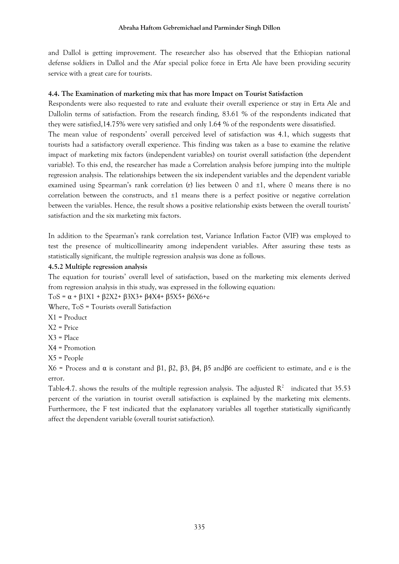and Dallol is getting improvement. The researcher also has observed that the Ethiopian national defense soldiers in Dallol and the Afar special police force in Erta Ale have been providing security service with a great care for tourists.

## **4.4. The Examination of marketing mix that has more Impact on Tourist Satisfaction**

Respondents were also requested to rate and evaluate their overall experience or stay in Erta Ale and Dallolin terms of satisfaction. From the research finding, 83.61 % of the respondents indicated that they were satisfied,14.75% were very satisfied and only 1.64 % of the respondents were dissatisfied.

The mean value of respondents' overall perceived level of satisfaction was 4.1, which suggests that tourists had a satisfactory overall experience. This finding was taken as a base to examine the relative impact of marketing mix factors (independent variables) on tourist overall satisfaction (the dependent variable). To this end, the researcher has made a Correlation analysis before jumping into the multiple regression analysis. The relationships between the six independent variables and the dependent variable examined using Spearman's rank correlation (r) lies between 0 and  $\pm 1$ , where 0 means there is no correlation between the constructs, and ±1 means there is a perfect positive or negative correlation between the variables. Hence, the result shows a positive relationship exists between the overall tourists' satisfaction and the six marketing mix factors.

In addition to the Spearman's rank correlation test, Variance Inflation Factor (VIF) was employed to test the presence of multicollinearity among independent variables. After assuring these tests as statistically significant, the multiple regression analysis was done as follows.

## **4.5.2 Multiple regression analysis**

The equation for tourists' overall level of satisfaction, based on the marketing mix elements derived from regression analysis in this study, was expressed in the following equation:

ToS = α + β1X1 + β2X2+ β3X3+ β4X4+ β5X5+ β6X6+e

Where, ToS = Tourists overall Satisfaction

- X1 = Product
- X2 = Price
- X3 = Place
- X4 = Promotion
- X5 = People

X6 = Process and α is constant and β1, β2, β3, β4, β5 andβ6 are coefficient to estimate, and e is the error.

Table-4.7. shows the results of the multiple regression analysis. The adjusted  $R^2$  indicated that 35.53 percent of the variation in tourist overall satisfaction is explained by the marketing mix elements. Furthermore, the F test indicated that the explanatory variables all together statistically significantly affect the dependent variable (overall tourist satisfaction).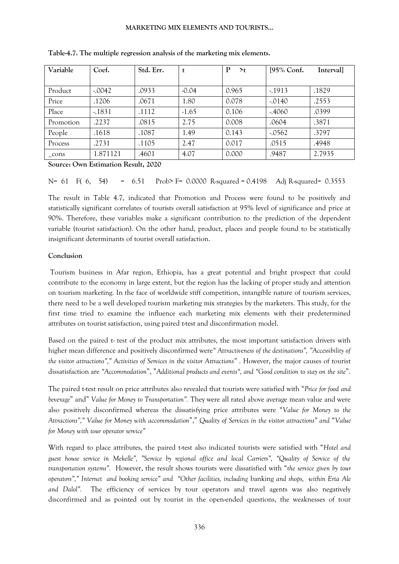| Variable      | Coef.    | Std. Err. | t       | $\mathbf{P}$<br>$\geq t$ | [95% Conf. | Interval] |
|---------------|----------|-----------|---------|--------------------------|------------|-----------|
|               |          |           |         |                          |            |           |
| Product       | $-.0042$ | .0933     | $-0.04$ | 0.965                    | $-1913$    | .1829     |
| Price         | .1206    | .0671     | 1.80    | 0.078                    | $-.0140$   | .2553     |
| Place         | $-1831$  | .1112     | $-1.65$ | 0.106                    | $-4060$    | .0399     |
| Promotion     | .2237    | .0815     | 2.75    | 0.008                    | .0604      | .3871     |
| People        | .1618    | .1087     | 1.49    | 0.143                    | $-0.0562$  | .3797     |
| Process       | .2731    | .1105     | 2.47    | 0.017                    | .0515      | .4948     |
| $_{\rm cons}$ | 1.871121 | .4601     | 4.07    | 0.000                    | .9487      | 2.7935    |

**Table-4.7. The multiple regression analysis of the marketing mix elements.**

**Source: Own Estimation Result, 2020**

 $N= 61$  F( 6, 54) = 6.51 Prob> F= 0.0000 R-squared = 0.4198 Adj R-squared = 0.3553

The result in Table 4.7, indicated that Promotion and Process were found to be positively and statistically significant correlates of tourists overall satisfaction at 95% level of significance and price at 90%. Therefore, these variables make a significant contribution to the prediction of the dependent variable (tourist satisfaction). On the other hand, product, places and people found to be statistically insignificant determinants of tourist overall satisfaction.

#### **Conclusion**

Tourism business in Afar region, Ethiopia, has a great potential and bright prospect that could contribute to the economy in large extent, but the region has the lacking of proper study and attention on tourism marketing. In the face of worldwide stiff competition, intangible nature of tourism services, there need to be a well developed tourism marketing mix strategies by the marketers. This study, for the first time tried to examine the influence each marketing mix elements with their predetermined attributes on tourist satisfaction, using paired t-test and disconfirmation model.

Based on the paired t- test of the product mix attributes, the most important satisfaction drivers with higher mean difference and positively disconfirmed were*" Attractiveness of the destinations", "Accessibility of the visitor attractions"," Activities of Services in the visitor Attractions"* . However, the major causes of tourist dissatisfaction are *"Accommodation*", "*Additional products and events", and "Good condition to stay on the site*".

The paired t-test result on price attributes also revealed that tourists were satisfied with "*Price for food and beverage*" and" *Value for Money to Transportation".* They were all rated above average mean value and were also positively disconfirmed whereas the dissatisfying price attributes were "*Value for Money to the Attractions"," Value for Money with accommodation*"," *Quality of Services in the visitor attractions" and* "*Value for Money with tour operator service"*

With regard to place attributes, the paired t-test also indicated tourists were satisfied with "*Hotel and guest house service in Mekelle", "Service by regional office and local Carriers", "Quality of Service of the transportation systems".* However, the result shows tourists were dissatisfied with "*the service given by tour operators"," Internet and booking service" and "Other facilities, including* banking *and shops, within Erta Ale*  and Dalol". The efficiency of services by tour operators and travel agents was also negatively disconfirmed and as pointed out by tourist in the open-ended questions, the weaknesses of tour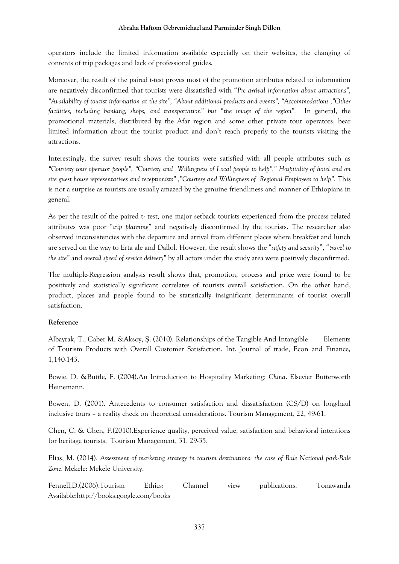operators include the limited information available especially on their websites, the changing of contents of trip packages and lack of professional guides.

Moreover, the result of the paired t-test proves most of the promotion attributes related to information are negatively disconfirmed that tourists were dissatisfied with "*Pre arrival information about attractions", "Availability of tourist information at the site", "About additional products and events", "Accommodations ,"Other facilities, including banking, shops, and transportation" but* "*the image of the region".* In general, the promotional materials, distributed by the Afar region and some other private tour operators, bear limited information about the tourist product and don't reach properly to the tourists visiting the attractions.

Interestingly, the survey result shows the tourists were satisfied with all people attributes such as *"Courtesy tour operator people", "Courtesy and Willingness of Local people to help"," Hospitality of hotel and on*  site guest house representatives and receptionists", "Courtesy and Willingness of Regional Employees to help". This is not a surprise as tourists are usually amazed by the genuine friendliness and manner of Ethiopians in general.

As per the result of the paired t- test, one major setback tourists experienced from the process related attributes was poor "*trip planning*" and negatively disconfirmed by the tourists. The researcher also observed inconsistencies with the departure and arrival from different places where breakfast and lunch are served on the way to Erta ale and Dallol. However, the result shows the "*safety and security*", "*travel to the site"* and *overall speed of service delivery"* by all actors under the study area were positively disconfirmed.

The multiple-Regression analysis result shows that, promotion, process and price were found to be positively and statistically significant correlates of tourists overall satisfaction. On the other hand, product, places and people found to be statistically insignificant determinants of tourist overall satisfaction.

# **Reference**

Albayrak, T., Caber M. &Aksoy, Ş. (2010). Relationships of the Tangible And Intangible Elements of Tourism Products with Overall Customer Satisfaction. Int. Journal of trade, Econ and Finance, 1,140-143.

Bowie, D. &Buttle, F. (2004).An Introduction to Hospitality Marketing*: China*. Elsevier Butterworth Heinemann.

Bowen, D. (2001). Antecedents to consumer satisfaction and dissatisfaction (CS/D) on long-haul inclusive tours – a reality check on theoretical considerations. Tourism Management, 22, 49-61.

Chen, C. & Chen, F.(2010).Experience quality, perceived value, satisfaction and behavioral intentions for heritage tourists. Tourism Management, 31, 29-35.

Elias, M. (2014). *Assessment of marketing strategy in tourism destinations: the case of Bale National park-Bale Zone.* Mekele: Mekele University.

Fennell,D.(2006).Tourism Ethics: Channel view publications. Tonawanda Available:http://books.google.com/books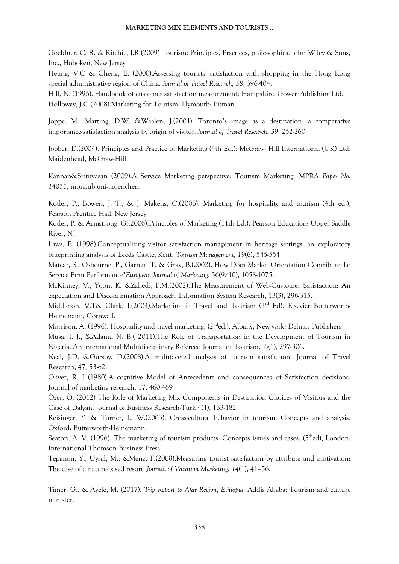Goeldner, C. R. & Ritchie, J.R.(2009) Tourism: Principles, Practices, philosophies. John Wiley & Sons, Inc., Hoboken, New Jersey

Heung, V.C & Cheng, E. (2000).Assessing tourists' satisfaction with shopping in the Hong Kong special administrative region of China. *Journal of Travel Research, 38*, 396-404.

Hill, N. (1996). Handbook of customer satisfaction measurement: Hampshire. Gower Publishing Ltd. Holloway, J.C.(2008).Marketing for Tourism*.* Plymouth: Pitman.

Joppe, M., Marting, D.W. &Waalen, J.(2001). Toronto's image as a destination: a comparative importance-satisfaction analysis by origin of visitor*. Journal of Travel Research, 39*, 252-260.

Jobber, D.(2004). Principles and Practice of Marketing (4th Ed.): McGraw- Hill International (UK) Ltd. Maidenhead, McGraw-Hill.

Kannan&Srinivasan (2009).A Service Marketing perspective: Tourism Marketing*,* MPRA *Paper No. 14031*, mpra.ub.uni-muenchen.

Kotler, P., Bowen, J. T., & J. Makens, C.(2006). Marketing for hospitality and tourism (4th ed.), Pearson Prentice Hall, New Jersey

Kotler, P. & Armstrong, G.(2006).Principles of Marketing (11th Ed.), Pearson Education: Upper Saddle River, NJ.

Laws, E. (1998).Conceptualizing visitor satisfaction management in heritage settings: an exploratory blueprinting analysis of Leeds Castle, Kent. *Tourism Management, 19*(6), 545-554

Matear, S., Osbourne, P., Garrett, T. & Gray, B.(2002). How Does Market Orientation Contribute To Service Firm Performance?*European Journal of Marketing*, 36(9/10), 1058-1075.

McKinney, V., Yoon, K. &Zahedi, F.M.(2002).The Measurement of Web-Customer Satisfaction: An expectation and Disconfirmation Approach. Information System Research, 13(3), 296-315.

Middleton, V.T& Clark, J.(2004).Marketing in Travel and Tourism (3<sup>rd</sup> Ed). Elsevier Butterworth-Heinemann, Cornwall.

Morrison, A. (1996). Hospitality and travel marketing, (2nded*.*)*,* Albany, New york: Delmar Publishers

Musa, I. J., &Adamu N. B.( 2011).The Role of Transportation in the Development of Tourism in Nigeria. An international Multidisciplinary Refereed Journal of Tourism. 6(1), 297-306.

Neal, J.D. &Gursoy, D.(2008).A multifaceted analysis of tourism satisfaction. Journal of Travel Research, 47, 53-62.

Oliver, R. L.(1980).A cognitive Model of Antecedents and consequences of Satisfaction decisions. Journal of marketing research, 17, 460-469

Özer, Ö. (2012) The Role of Marketing Mix Components in Destination Choices of Visitors and the Case of Dalyan. Journal of Business Research-Turk 4(1), 163-182

Reisinger, Y. & Turner, L. W.(2003). Cross-cultural behavior in tourism: Concepts and analysis. Oxford: Butterworth-Heinemann.

Seaton, A. V. (1996). The marketing of tourism products: Concepts issues and cases,  $(5<sup>th</sup>ed)$ , London: International Thomson Business Press.

Tepanon, Y., Uysal, M., &Meng, F.(2008).Measuring tourist satisfaction by attribute and motivation: The case of a nature-based resort. *Journal of Vacation Marketing*, *14*(1), 41–56.

Timer, G., & Ayele, M. (2017). *Trip Report to Afar Region, Ethiopia.* Addis Ababa: Tourism and culture minister.